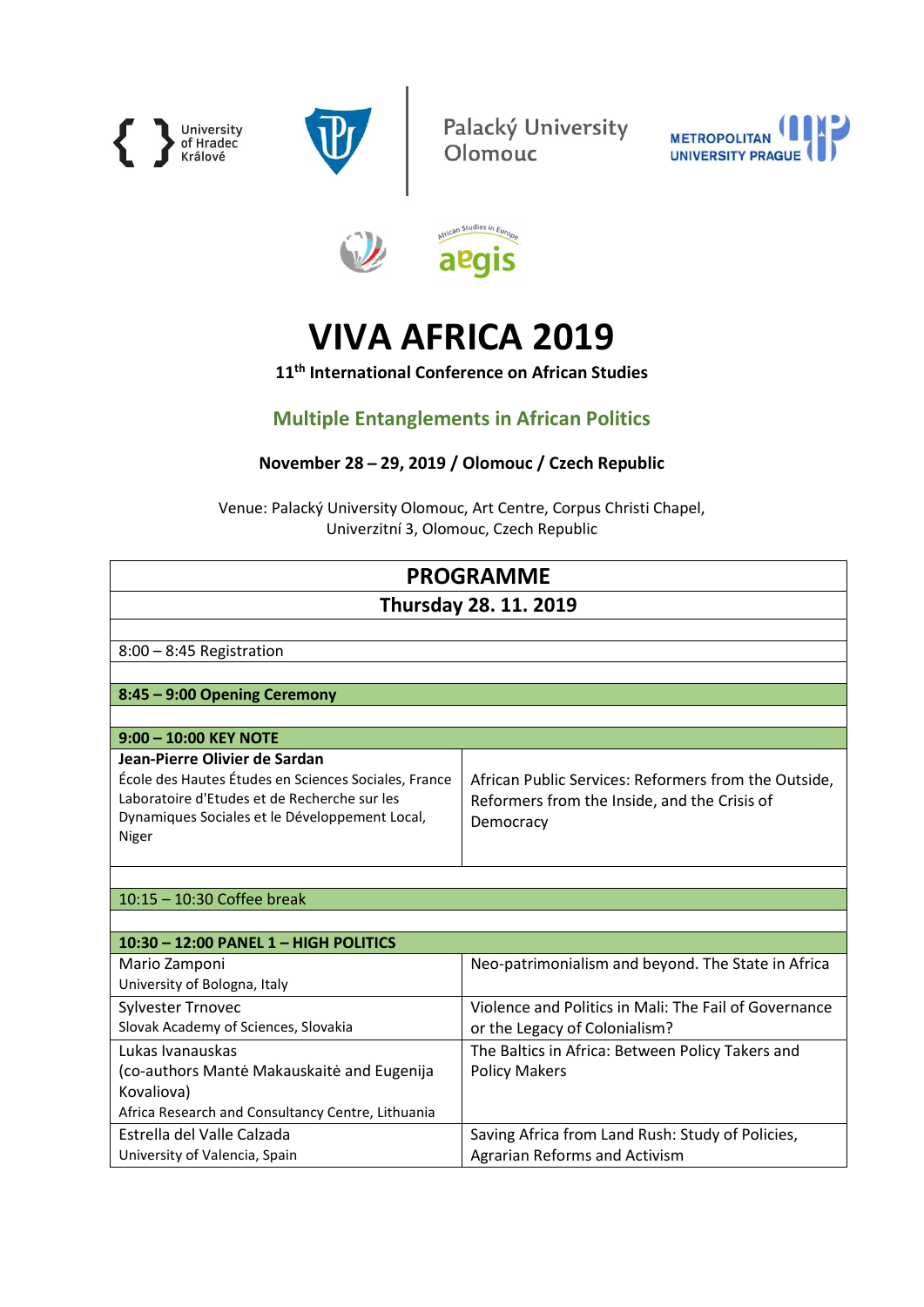



Palacký University<br>Olomouc

S





# VIVA AFRICA 2019

11<sup>th</sup> International Conference on African Studies

# Multiple Entanglements in African Politics

## November 28 ̶ 29, 2019 / Olomouc / Czech Republic

Venue: Palacký University Olomouc, Art Centre, Corpus Christi Chapel, Univerzitní 3, Olomouc, Czech Republic

| <b>PROGRAMME</b>                                                                                                                                                                                 |                                                                                                                   |  |
|--------------------------------------------------------------------------------------------------------------------------------------------------------------------------------------------------|-------------------------------------------------------------------------------------------------------------------|--|
| <b>Thursday 28. 11. 2019</b>                                                                                                                                                                     |                                                                                                                   |  |
|                                                                                                                                                                                                  |                                                                                                                   |  |
| $8:00 - 8:45$ Registration                                                                                                                                                                       |                                                                                                                   |  |
|                                                                                                                                                                                                  |                                                                                                                   |  |
| 8:45 - 9:00 Opening Ceremony                                                                                                                                                                     |                                                                                                                   |  |
|                                                                                                                                                                                                  |                                                                                                                   |  |
| 9:00 - 10:00 KEY NOTE                                                                                                                                                                            |                                                                                                                   |  |
| Jean-Pierre Olivier de Sardan<br>École des Hautes Études en Sciences Sociales, France<br>Laboratoire d'Etudes et de Recherche sur les<br>Dynamiques Sociales et le Développement Local,<br>Niger | African Public Services: Reformers from the Outside,<br>Reformers from the Inside, and the Crisis of<br>Democracy |  |
|                                                                                                                                                                                                  |                                                                                                                   |  |
| 10:15 - 10:30 Coffee break                                                                                                                                                                       |                                                                                                                   |  |
|                                                                                                                                                                                                  |                                                                                                                   |  |
| 10:30 - 12:00 PANEL 1 - HIGH POLITICS                                                                                                                                                            |                                                                                                                   |  |
| Mario Zamponi<br>University of Bologna, Italy                                                                                                                                                    | Neo-patrimonialism and beyond. The State in Africa                                                                |  |
| <b>Sylvester Trnovec</b>                                                                                                                                                                         | Violence and Politics in Mali: The Fail of Governance                                                             |  |
| Slovak Academy of Sciences, Slovakia                                                                                                                                                             | or the Legacy of Colonialism?                                                                                     |  |
| Lukas Ivanauskas                                                                                                                                                                                 | The Baltics in Africa: Between Policy Takers and                                                                  |  |
| (co-authors Mantė Makauskaitė and Eugenija                                                                                                                                                       | <b>Policy Makers</b>                                                                                              |  |
| Kovaliova)                                                                                                                                                                                       |                                                                                                                   |  |
| Africa Research and Consultancy Centre, Lithuania                                                                                                                                                |                                                                                                                   |  |
| Estrella del Valle Calzada                                                                                                                                                                       | Saving Africa from Land Rush: Study of Policies,                                                                  |  |
| University of Valencia, Spain                                                                                                                                                                    | <b>Agrarian Reforms and Activism</b>                                                                              |  |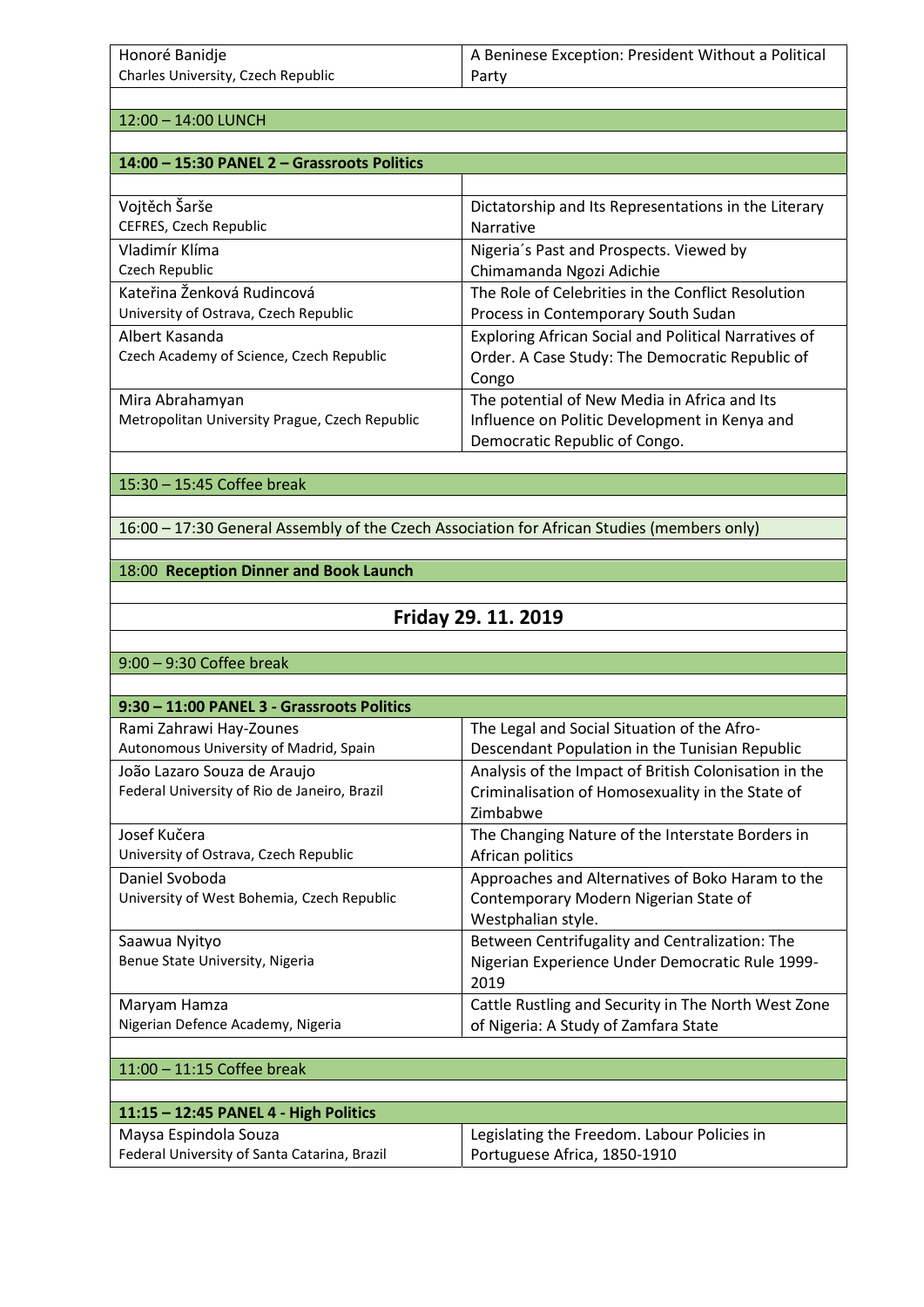| Honoré Banidje                     | A Beninese Exception: President Without a Political |
|------------------------------------|-----------------------------------------------------|
| Charles University, Czech Republic | Party                                               |

12:00 – 14:00 LUNCH

| 14:00 - 15:30 PANEL 2 - Grassroots Politics    |                                                             |
|------------------------------------------------|-------------------------------------------------------------|
|                                                |                                                             |
| Vojtěch Šarše                                  | Dictatorship and Its Representations in the Literary        |
| CEFRES, Czech Republic                         | <b>Narrative</b>                                            |
| Vladimír Klíma                                 | Nigeria's Past and Prospects. Viewed by                     |
| Czech Republic                                 | Chimamanda Ngozi Adichie                                    |
| Kateřina Ženková Rudincová                     | The Role of Celebrities in the Conflict Resolution          |
| University of Ostrava, Czech Republic          | Process in Contemporary South Sudan                         |
| Albert Kasanda                                 | <b>Exploring African Social and Political Narratives of</b> |
| Czech Academy of Science, Czech Republic       | Order. A Case Study: The Democratic Republic of             |
|                                                | Congo                                                       |
| Mira Abrahamyan                                | The potential of New Media in Africa and Its                |
| Metropolitan University Prague, Czech Republic | Influence on Politic Development in Kenya and               |
|                                                | Democratic Republic of Congo.                               |

#### 15:30 – 15:45 Coffee break

16:00 – 17:30 General Assembly of the Czech Association for African Studies (members only)

#### 18:00 Reception Dinner and Book Launch

# Friday 29. 11. 2019

9:00 – 9:30 Coffee break

| 9:30 - 11:00 PANEL 3 - Grassroots Politics   |                                                       |
|----------------------------------------------|-------------------------------------------------------|
| Rami Zahrawi Hay-Zounes                      | The Legal and Social Situation of the Afro-           |
| Autonomous University of Madrid, Spain       | Descendant Population in the Tunisian Republic        |
| João Lazaro Souza de Araujo                  | Analysis of the Impact of British Colonisation in the |
| Federal University of Rio de Janeiro, Brazil | Criminalisation of Homosexuality in the State of      |
|                                              | Zimbabwe                                              |
| Josef Kučera                                 | The Changing Nature of the Interstate Borders in      |
| University of Ostrava, Czech Republic        | African politics                                      |
| Daniel Svoboda                               | Approaches and Alternatives of Boko Haram to the      |
| University of West Bohemia, Czech Republic   | Contemporary Modern Nigerian State of                 |
|                                              | Westphalian style.                                    |
| Saawua Nyityo                                | Between Centrifugality and Centralization: The        |
| Benue State University, Nigeria              | Nigerian Experience Under Democratic Rule 1999-       |
|                                              | 2019                                                  |
| Maryam Hamza                                 | Cattle Rustling and Security in The North West Zone   |
| Nigerian Defence Academy, Nigeria            | of Nigeria: A Study of Zamfara State                  |
|                                              |                                                       |

#### 11:00 – 11:15 Coffee break

| $11:15 - 12:45$ PANEL 4 - High Politics      |                                             |
|----------------------------------------------|---------------------------------------------|
| Maysa Espindola Souza                        | Legislating the Freedom. Labour Policies in |
| Federal University of Santa Catarina, Brazil | Portuguese Africa, 1850-1910                |